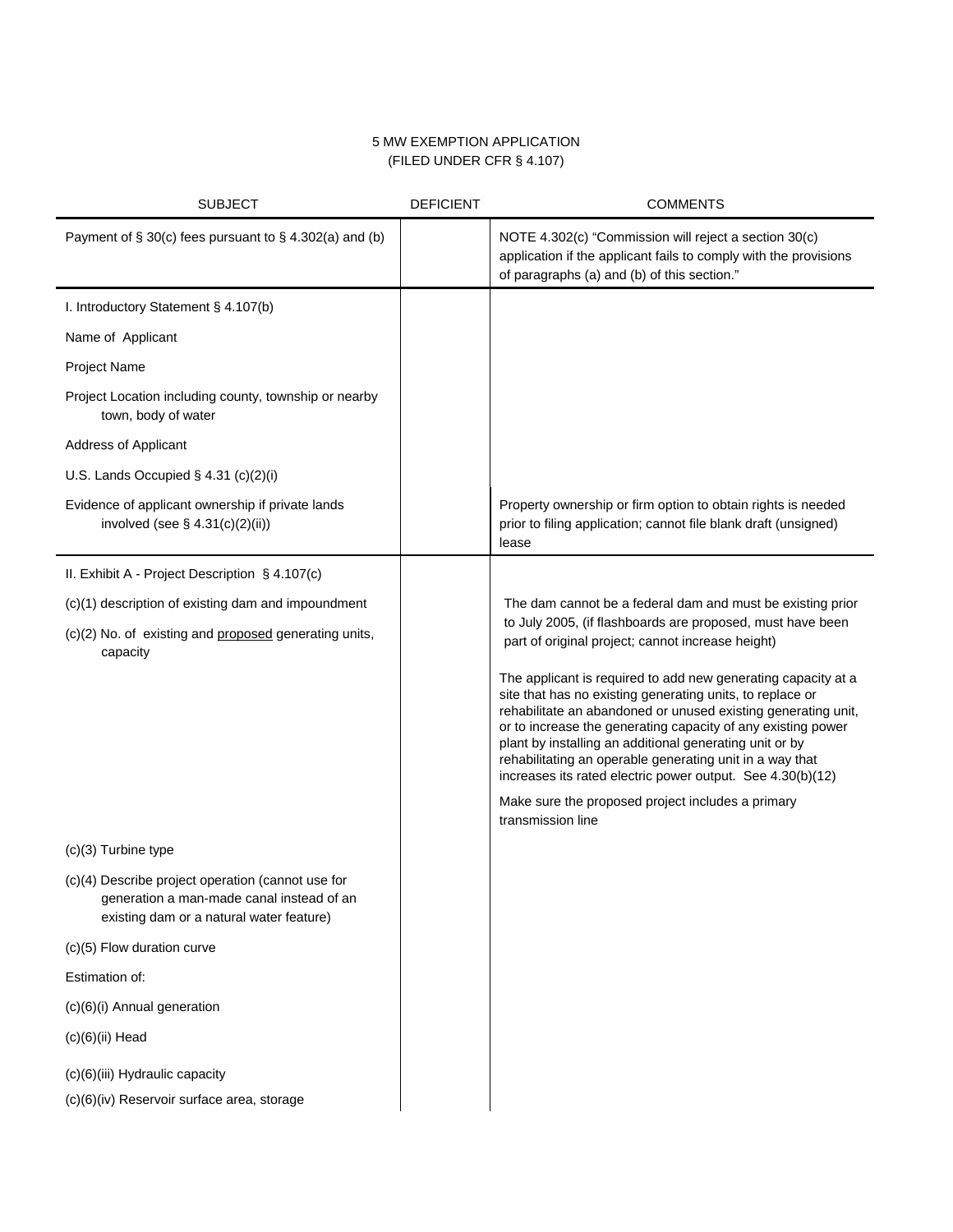# 5 MW EXEMPTION APPLICATION (FILED UNDER CFR § 4.107)

| <b>SUBJECT</b>                                                                                                                             | <b>DEFICIENT</b> | <b>COMMENTS</b>                                                                                                                                                                                                                                                                                                                                                                                                                                                                                       |
|--------------------------------------------------------------------------------------------------------------------------------------------|------------------|-------------------------------------------------------------------------------------------------------------------------------------------------------------------------------------------------------------------------------------------------------------------------------------------------------------------------------------------------------------------------------------------------------------------------------------------------------------------------------------------------------|
| Payment of $\S 30(c)$ fees pursuant to $\S 4.302(a)$ and (b)                                                                               |                  | NOTE 4.302(c) "Commission will reject a section 30(c)<br>application if the applicant fails to comply with the provisions<br>of paragraphs (a) and (b) of this section."                                                                                                                                                                                                                                                                                                                              |
| I. Introductory Statement § 4.107(b)                                                                                                       |                  |                                                                                                                                                                                                                                                                                                                                                                                                                                                                                                       |
| Name of Applicant                                                                                                                          |                  |                                                                                                                                                                                                                                                                                                                                                                                                                                                                                                       |
| Project Name                                                                                                                               |                  |                                                                                                                                                                                                                                                                                                                                                                                                                                                                                                       |
| Project Location including county, township or nearby<br>town, body of water                                                               |                  |                                                                                                                                                                                                                                                                                                                                                                                                                                                                                                       |
| Address of Applicant                                                                                                                       |                  |                                                                                                                                                                                                                                                                                                                                                                                                                                                                                                       |
| U.S. Lands Occupied $\S$ 4.31 (c)(2)(i)                                                                                                    |                  |                                                                                                                                                                                                                                                                                                                                                                                                                                                                                                       |
| Evidence of applicant ownership if private lands<br>involved (see $\S$ 4.31(c)(2)(ii))                                                     |                  | Property ownership or firm option to obtain rights is needed<br>prior to filing application; cannot file blank draft (unsigned)<br>lease                                                                                                                                                                                                                                                                                                                                                              |
| II. Exhibit A - Project Description § 4.107(c)                                                                                             |                  |                                                                                                                                                                                                                                                                                                                                                                                                                                                                                                       |
| (c)(1) description of existing dam and impoundment                                                                                         |                  | The dam cannot be a federal dam and must be existing prior<br>to July 2005, (if flashboards are proposed, must have been<br>part of original project; cannot increase height)                                                                                                                                                                                                                                                                                                                         |
| (c)(2) No. of existing and proposed generating units,<br>capacity                                                                          |                  |                                                                                                                                                                                                                                                                                                                                                                                                                                                                                                       |
|                                                                                                                                            |                  | The applicant is required to add new generating capacity at a<br>site that has no existing generating units, to replace or<br>rehabilitate an abandoned or unused existing generating unit,<br>or to increase the generating capacity of any existing power<br>plant by installing an additional generating unit or by<br>rehabilitating an operable generating unit in a way that<br>increases its rated electric power output. See 4.30(b)(12)<br>Make sure the proposed project includes a primary |
|                                                                                                                                            |                  | transmission line                                                                                                                                                                                                                                                                                                                                                                                                                                                                                     |
| $(c)(3)$ Turbine type                                                                                                                      |                  |                                                                                                                                                                                                                                                                                                                                                                                                                                                                                                       |
| (c)(4) Describe project operation (cannot use for<br>generation a man-made canal instead of an<br>existing dam or a natural water feature) |                  |                                                                                                                                                                                                                                                                                                                                                                                                                                                                                                       |
| (c)(5) Flow duration curve                                                                                                                 |                  |                                                                                                                                                                                                                                                                                                                                                                                                                                                                                                       |
| Estimation of:                                                                                                                             |                  |                                                                                                                                                                                                                                                                                                                                                                                                                                                                                                       |
| (c)(6)(i) Annual generation                                                                                                                |                  |                                                                                                                                                                                                                                                                                                                                                                                                                                                                                                       |
| $(c)(6)(ii)$ Head                                                                                                                          |                  |                                                                                                                                                                                                                                                                                                                                                                                                                                                                                                       |
| (c)(6)(iii) Hydraulic capacity                                                                                                             |                  |                                                                                                                                                                                                                                                                                                                                                                                                                                                                                                       |
| (c)(6)(iv) Reservoir surface area, storage                                                                                                 |                  |                                                                                                                                                                                                                                                                                                                                                                                                                                                                                                       |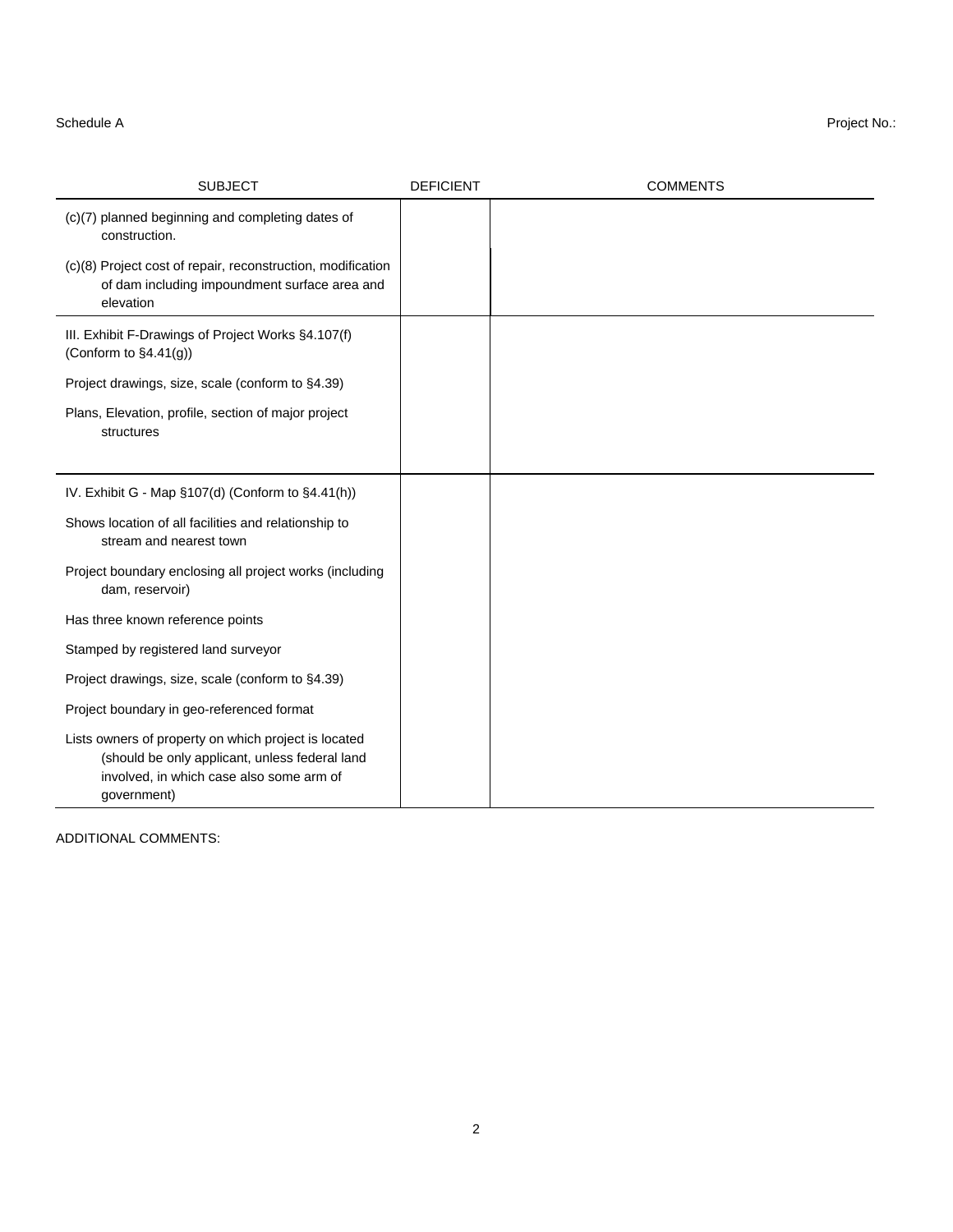| <b>SUBJECT</b>                                                                                                                                                    | <b>DEFICIENT</b> | <b>COMMENTS</b> |
|-------------------------------------------------------------------------------------------------------------------------------------------------------------------|------------------|-----------------|
| (c)(7) planned beginning and completing dates of<br>construction.                                                                                                 |                  |                 |
| (c)(8) Project cost of repair, reconstruction, modification<br>of dam including impoundment surface area and<br>elevation                                         |                  |                 |
| III. Exhibit F-Drawings of Project Works §4.107(f)<br>(Conform to $\S4.41(g)$ )                                                                                   |                  |                 |
| Project drawings, size, scale (conform to §4.39)                                                                                                                  |                  |                 |
| Plans, Elevation, profile, section of major project<br>structures                                                                                                 |                  |                 |
|                                                                                                                                                                   |                  |                 |
| IV. Exhibit G - Map §107(d) (Conform to §4.41(h))                                                                                                                 |                  |                 |
| Shows location of all facilities and relationship to<br>stream and nearest town                                                                                   |                  |                 |
| Project boundary enclosing all project works (including<br>dam, reservoir)                                                                                        |                  |                 |
| Has three known reference points                                                                                                                                  |                  |                 |
| Stamped by registered land surveyor                                                                                                                               |                  |                 |
| Project drawings, size, scale (conform to §4.39)                                                                                                                  |                  |                 |
| Project boundary in geo-referenced format                                                                                                                         |                  |                 |
| Lists owners of property on which project is located<br>(should be only applicant, unless federal land<br>involved, in which case also some arm of<br>government) |                  |                 |

ADDITIONAL COMMENTS: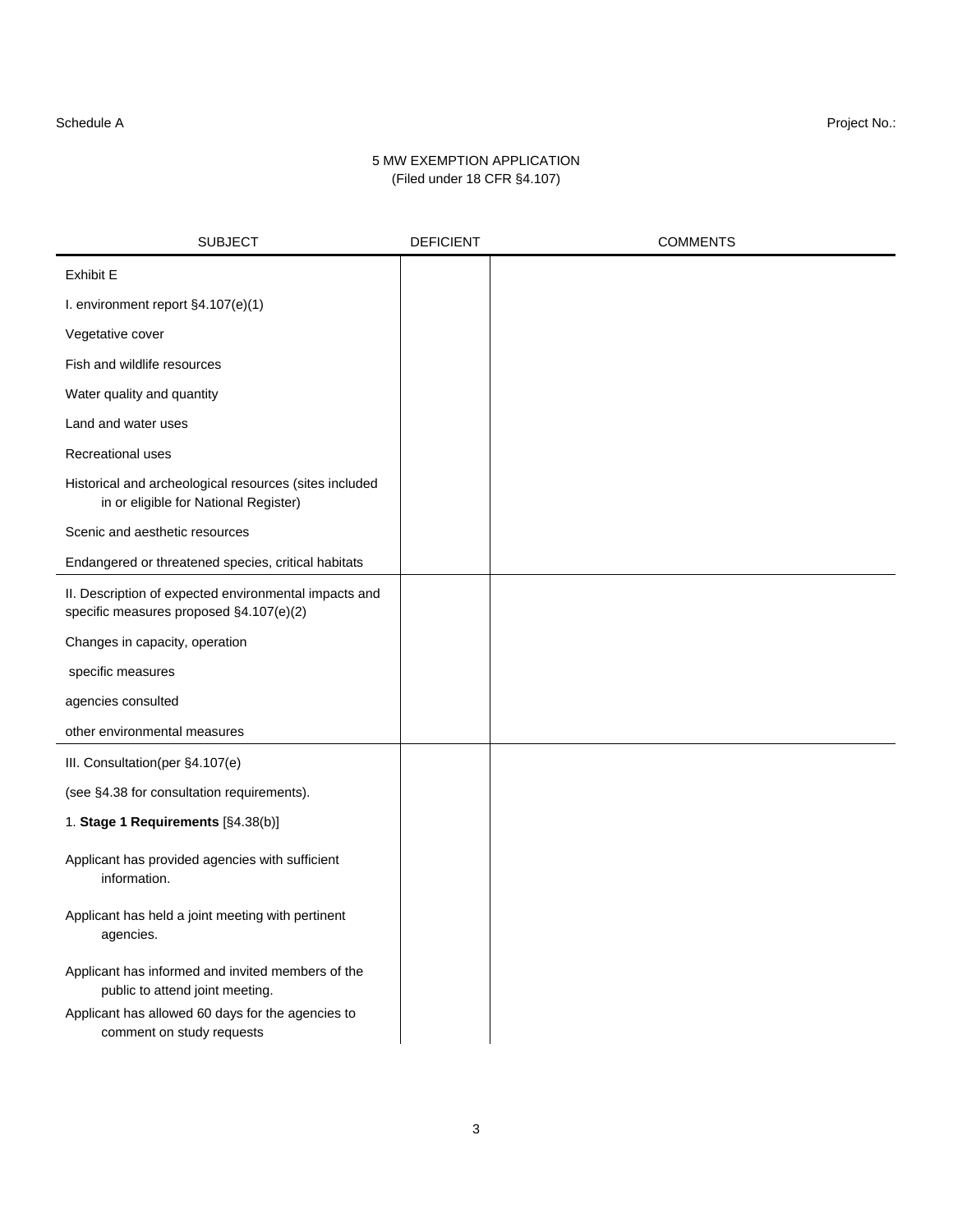### Schedule A Project No.:

## 5 MW EXEMPTION APPLICATION (Filed under 18 CFR §4.107)

| <b>SUBJECT</b>                                                                                   | <b>DEFICIENT</b> | <b>COMMENTS</b> |
|--------------------------------------------------------------------------------------------------|------------------|-----------------|
| <b>Exhibit E</b>                                                                                 |                  |                 |
| I. environment report §4.107(e)(1)                                                               |                  |                 |
| Vegetative cover                                                                                 |                  |                 |
| Fish and wildlife resources                                                                      |                  |                 |
| Water quality and quantity                                                                       |                  |                 |
| Land and water uses                                                                              |                  |                 |
| Recreational uses                                                                                |                  |                 |
| Historical and archeological resources (sites included<br>in or eligible for National Register)  |                  |                 |
| Scenic and aesthetic resources                                                                   |                  |                 |
| Endangered or threatened species, critical habitats                                              |                  |                 |
| II. Description of expected environmental impacts and<br>specific measures proposed §4.107(e)(2) |                  |                 |
| Changes in capacity, operation                                                                   |                  |                 |
| specific measures                                                                                |                  |                 |
| agencies consulted                                                                               |                  |                 |
| other environmental measures                                                                     |                  |                 |
| III. Consultation(per §4.107(e)                                                                  |                  |                 |
| (see §4.38 for consultation requirements).                                                       |                  |                 |
| 1. Stage 1 Requirements [§4.38(b)]                                                               |                  |                 |
| Applicant has provided agencies with sufficient<br>information.                                  |                  |                 |
| Applicant has held a joint meeting with pertinent<br>agencies.                                   |                  |                 |
| Applicant has informed and invited members of the<br>public to attend joint meeting.             |                  |                 |
| Applicant has allowed 60 days for the agencies to<br>comment on study requests                   |                  |                 |